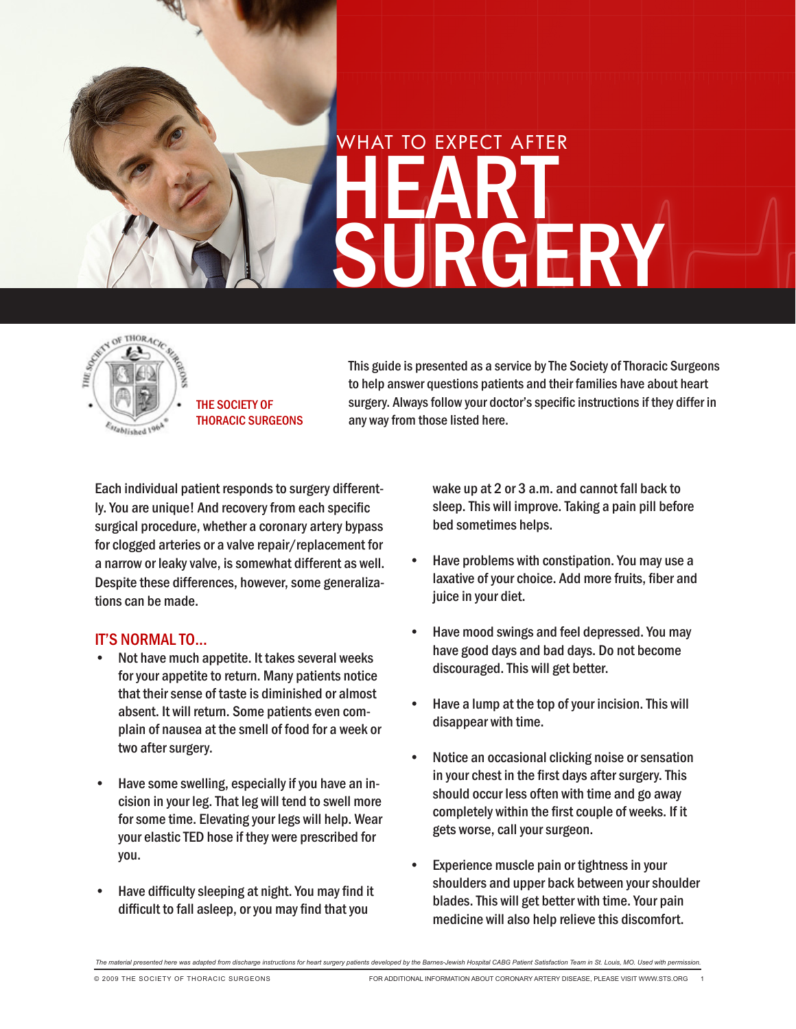



the society of thoracic surgeons

This guide is presented as a service by The Society of Thoracic Surgeons to help answer questions patients and their families have about heart surgery. Always follow your doctor's specific instructions if they differ in any way from those listed here.

Each individual patient responds to surgery differently. You are unique! And recovery from each specific surgical procedure, whether a coronary artery bypass for clogged arteries or a valve repair/replacement for a narrow or leaky valve, is somewhat different as well. Despite these differences, however, some generalizations can be made.

## **IT'S NORMAL TO...**

- Not have much appetite. It takes several weeks for your appetite to return. Many patients notice that their sense of taste is diminished or almost absent. It will return. Some patients even complain of nausea at the smell of food for a week or two after surgery.
- Have some swelling, especially if you have an incision in your leg. That leg will tend to swell more for some time. Elevating your legs will help. Wear your elastic TED hose if they were prescribed for you.
- Have difficulty sleeping at night. You may find it difficult to fall asleep, or you may find that you

wake up at 2 or 3 a.m. and cannot fall back to sleep. This will improve. Taking a pain pill before bed sometimes helps.

- Have problems with constipation. You may use a laxative of your choice. Add more fruits, fiber and juice in your diet.
- Have mood swings and feel depressed. You may have good days and bad days. Do not become discouraged. This will get better.
- Have a lump at the top of your incision. This will disappear with time.
- Notice an occasional clicking noise or sensation in your chest in the first days after surgery. This should occur less often with time and go away completely within the first couple of weeks. If it gets worse, call your surgeon.
- Experience muscle pain or tightness in your shoulders and upper back between your shoulder blades. This will get better with time. Your pain medicine will also help relieve this discomfort.

*The material presented here was adapted from discharge instructions for heart surgery patients developed by the Barnes-Jewish Hospital CABG Patient Satisfaction Team in St. Louis, MO. Used with permission.*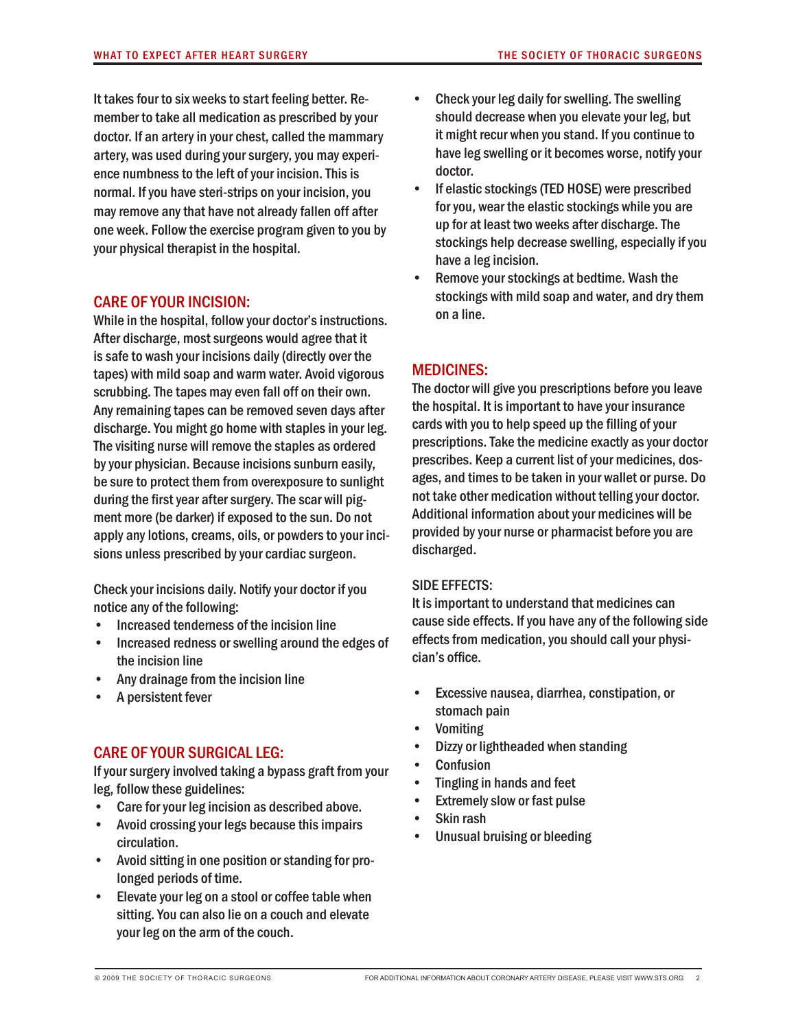It takes four to six weeks to start feeling better. Remember to take all medication as prescribed by your doctor. If an artery in your chest, called the mammary artery, was used during your surgery, you may experience numbness to the left of your incision. This is normal. If you have steri-strips on your incision, you may remove any that have not already fallen off after one week. Follow the exercise program given to you by your physical therapist in the hospital.

## Care of your incision:

While in the hospital, follow your doctor's instructions. After discharge, most surgeons would agree that it is safe to wash your incisions daily (directly over the tapes) with mild soap and warm water. Avoid vigorous scrubbing. The tapes may even fall off on their own. Any remaining tapes can be removed seven days after discharge. You might go home with staples in your leg. The visiting nurse will remove the staples as ordered by your physician. Because incisions sunburn easily, be sure to protect them from overexposure to sunlight during the first year after surgery. The scar will pigment more (be darker) if exposed to the sun. Do not apply any lotions, creams, oils, or powders to your incisions unless prescribed by your cardiac surgeon.

Check your incisions daily. Notify your doctor if you notice any of the following:

- Increased tenderness of the incision line
- Increased redness or swelling around the edges of the incision line
- Any drainage from the incision line
- A persistent fever

## Care of your surgical leg:

If your surgery involved taking a bypass graft from your leg, follow these guidelines:

- Care for your leg incision as described above.
- Avoid crossing your legs because this impairs circulation.
- Avoid sitting in one position or standing for prolonged periods of time.
- Elevate your leg on a stool or coffee table when sitting. You can also lie on a couch and elevate your leg on the arm of the couch.
- Check your leg daily for swelling. The swelling should decrease when you elevate your leg, but it might recur when you stand. If you continue to have leg swelling or it becomes worse, notify your doctor.
- If elastic stockings (TED HOSE) were prescribed for you, wear the elastic stockings while you are up for at least two weeks after discharge. The stockings help decrease swelling, especially if you have a leg incision.
- Remove your stockings at bedtime. Wash the stockings with mild soap and water, and dry them on a line.

## MEDICINES:

The doctor will give you prescriptions before you leave the hospital. It is important to have your insurance cards with you to help speed up the filling of your prescriptions. Take the medicine exactly as your doctor prescribes. Keep a current list of your medicines, dosages, and times to be taken in your wallet or purse. Do not take other medication without telling your doctor. Additional information about your medicines will be provided by your nurse or pharmacist before you are discharged.

### SIDE EFFECTS:

It is important to understand that medicines can cause side effects. If you have any of the following side effects from medication, you should call your physician's office.

- Excessive nausea, diarrhea, constipation, or stomach pain
- **Vomiting**
- Dizzy or lightheaded when standing
- **Confusion**
- Tingling in hands and feet
- Extremely slow or fast pulse
- Skin rash
- Unusual bruising or bleeding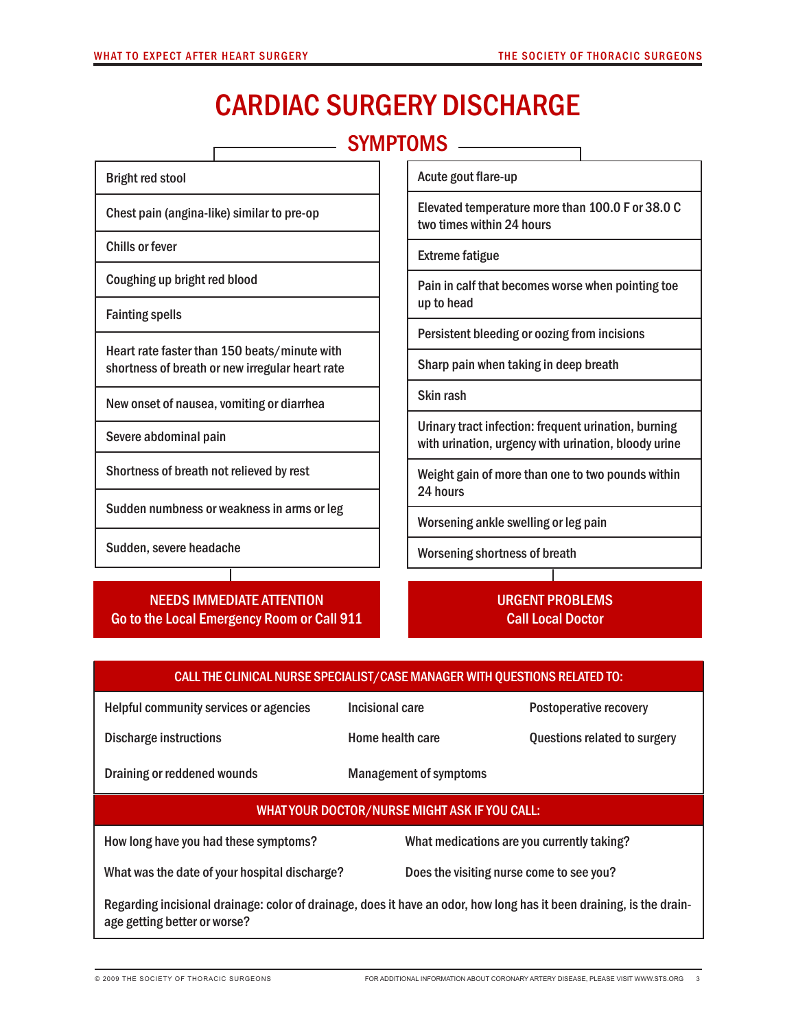$\Gamma$ 

# Cardiac surgery discharge

SYMPTOMS **CONSTRAINING** 

| <b>Bright red stool</b>                                                                         | Acute gout flare-up                                                                                                                                                           |  |  |
|-------------------------------------------------------------------------------------------------|-------------------------------------------------------------------------------------------------------------------------------------------------------------------------------|--|--|
| Chest pain (angina-like) similar to pre-op                                                      | Elevated temperature more than 100.0 F or 38.0 C<br>two times within 24 hours                                                                                                 |  |  |
| Chills or fever                                                                                 | <b>Extreme fatigue</b>                                                                                                                                                        |  |  |
| Coughing up bright red blood                                                                    | Pain in calf that becomes worse when pointing toe<br>up to head                                                                                                               |  |  |
| <b>Fainting spells</b>                                                                          |                                                                                                                                                                               |  |  |
|                                                                                                 | Persistent bleeding or oozing from incisions                                                                                                                                  |  |  |
| Heart rate faster than 150 beats/minute with<br>shortness of breath or new irregular heart rate | Sharp pain when taking in deep breath                                                                                                                                         |  |  |
| New onset of nausea, vomiting or diarrhea                                                       | Skin rash                                                                                                                                                                     |  |  |
| Severe abdominal pain                                                                           | Urinary tract infection: frequent urination, burning<br>with urination, urgency with urination, bloody urine<br>Weight gain of more than one to two pounds within<br>24 hours |  |  |
| Shortness of breath not relieved by rest                                                        |                                                                                                                                                                               |  |  |

Worsening ankle swelling or leg pain

Worsening shortness of breath

## NEEDS IMMEDIATE ATTENTION Go to the Local Emergency Room or Call 911

Sudden numbness or weakness in arms or leg

Sudden, severe headache

URGENT PROBLEMS Call Local Doctor

| CALL THE CLINICAL NURSE SPECIALIST/CASE MANAGER WITH QUESTIONS RELATED TO:                                                                           |                               |                                            |  |  |  |
|------------------------------------------------------------------------------------------------------------------------------------------------------|-------------------------------|--------------------------------------------|--|--|--|
| Helpful community services or agencies                                                                                                               | Incisional care               | Postoperative recovery                     |  |  |  |
| <b>Discharge instructions</b>                                                                                                                        | Home health care              | Questions related to surgery               |  |  |  |
| Draining or reddened wounds                                                                                                                          | <b>Management of symptoms</b> |                                            |  |  |  |
| WHAT YOUR DOCTOR/NURSE MIGHT ASK IF YOU CALL:                                                                                                        |                               |                                            |  |  |  |
| How long have you had these symptoms?                                                                                                                |                               | What medications are you currently taking? |  |  |  |
| What was the date of your hospital discharge?                                                                                                        |                               | Does the visiting nurse come to see you?   |  |  |  |
| Regarding incisional drainage: color of drainage, does it have an odor, how long has it been draining, is the drain-<br>age getting better or worse? |                               |                                            |  |  |  |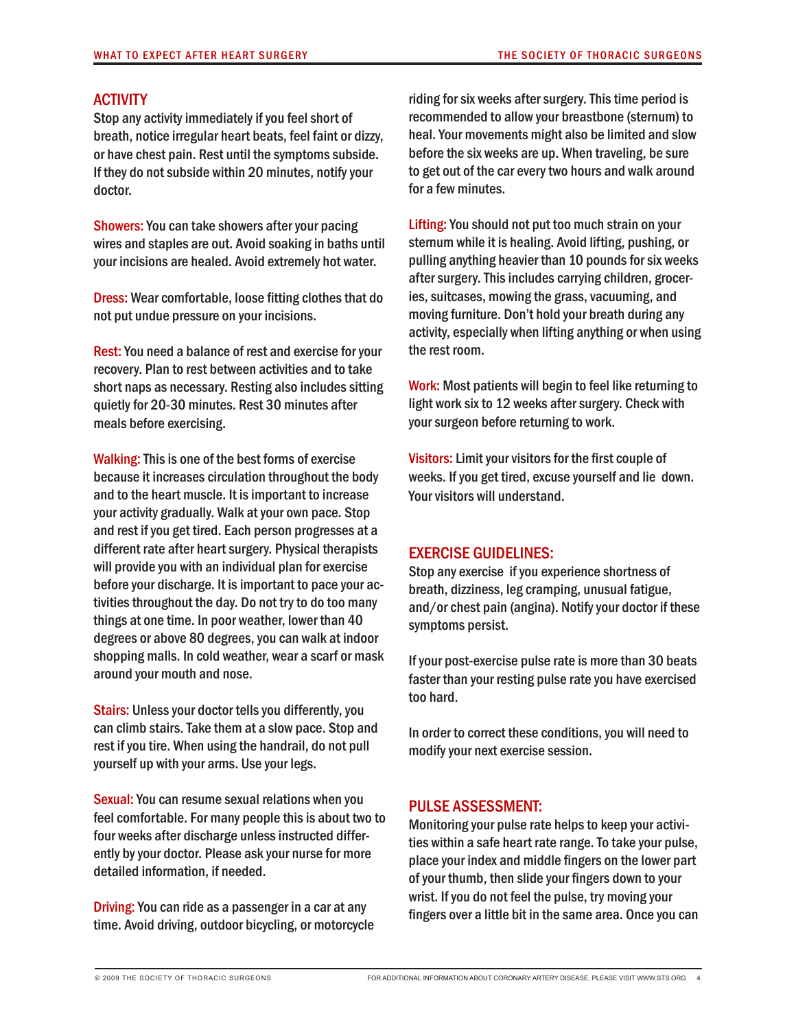### **ACTIVITY**

Stop any activity immediately if you feel short of breath, notice irregular heart beats, feel faint or dizzy, or have chest pain. Rest until the symptoms subside. If they do not subside within 20 minutes, notify your doctor.

Showers: You can take showers after your pacing wires and staples are out. Avoid soaking in baths until your incisions are healed. Avoid extremely hot water.

Dress: Wear comfortable, loose fitting clothes that do not put undue pressure on your incisions.

Rest: You need a balance of rest and exercise for your recovery. Plan to rest between activities and to take short naps as necessary. Resting also includes sitting quietly for 20-30 minutes. Rest 30 minutes after meals before exercising.

Walking: This is one of the best forms of exercise because it increases circulation throughout the body and to the heart muscle. It is important to increase your activity gradually. Walk at your own pace. Stop and rest if you get tired. Each person progresses at a different rate after heart surgery. Physical therapists will provide you with an individual plan for exercise before your discharge. It is important to pace your activities throughout the day. Do not try to do too many things at one time. In poor weather, lower than 40 degrees or above 80 degrees, you can walk at indoor shopping malls. In cold weather, wear a scarf or mask around your mouth and nose.

Stairs: Unless your doctor tells you differently, you can climb stairs. Take them at a slow pace. Stop and rest if you tire. When using the handrail, do not pull yourself up with your arms. Use your legs.

Sexual: You can resume sexual relations when you feel comfortable. For many people this is about two to four weeks after discharge unless instructed differently by your doctor. Please ask your nurse for more detailed information, if needed.

Driving: You can ride as a passenger in a car at any time. Avoid driving, outdoor bicycling, or motorcycle riding for six weeks after surgery. This time period is recommended to allow your breastbone (sternum) to heal. Your movements might also be limited and slow before the six weeks are up. When traveling, be sure to get out of the car every two hours and walk around for a few minutes.

Lifting: You should not put too much strain on your sternum while it is healing. Avoid lifting, pushing, or pulling anything heavier than 10 pounds for six weeks after surgery. This includes carrying children, groceries, suitcases, mowing the grass, vacuuming, and moving furniture. Don't hold your breath during any activity, especially when lifting anything or when using the rest room.

Work: Most patients will begin to feel like returning to light work six to 12 weeks after surgery. Check with your surgeon before returning to work.

Visitors: Limit your visitors for the first couple of weeks. If you get tired, excuse yourself and lie down. Your visitors will understand.

### exercise guidelines:

Stop any exercise if you experience shortness of breath, dizziness, leg cramping, unusual fatigue, and/or chest pain (angina). Notify your doctor if these symptoms persist.

If your post-exercise pulse rate is more than 30 beats faster than your resting pulse rate you have exercised too hard.

In order to correct these conditions, you will need to modify your next exercise session.

### Pulse assessment:

Monitoring your pulse rate helps to keep your activities within a safe heart rate range. To take your pulse, place your index and middle fingers on the lower part of your thumb, then slide your fingers down to your wrist. If you do not feel the pulse, try moving your fingers over a little bit in the same area. Once you can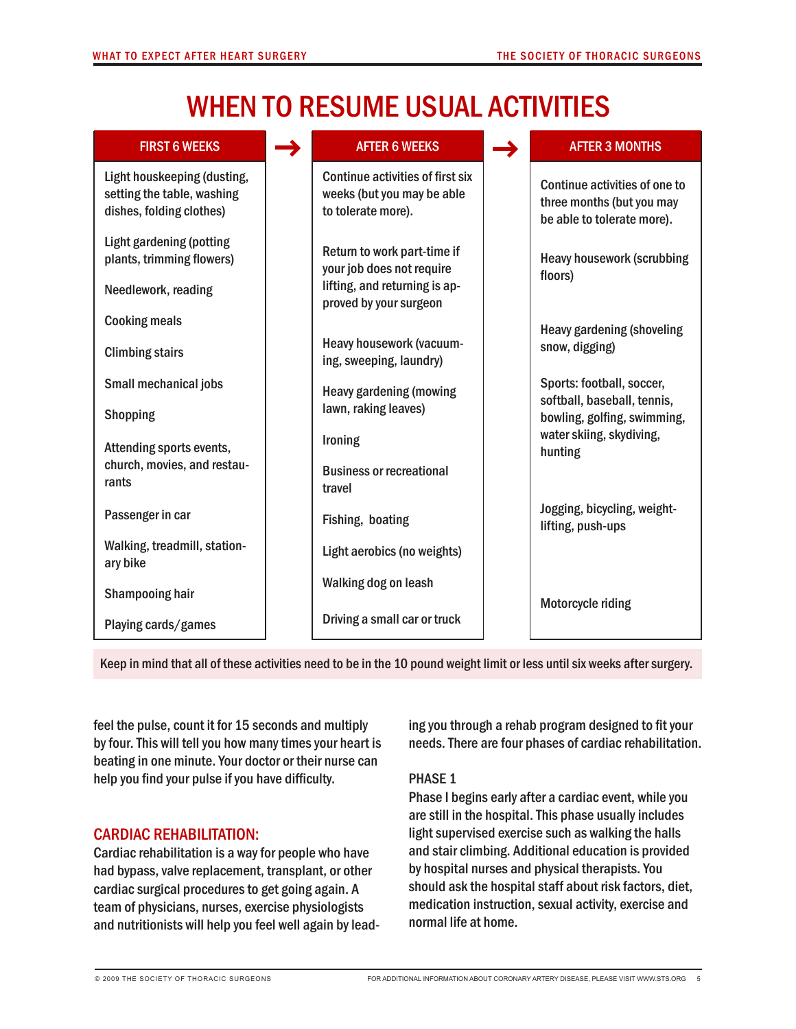# When to resume usual activities

| <b>FIRST 6 WEEKS</b>                                                                  | <b>AFTER 6 WEEKS</b>                                                                 | <b>AFTER 3 MONTHS</b>                                                                    |
|---------------------------------------------------------------------------------------|--------------------------------------------------------------------------------------|------------------------------------------------------------------------------------------|
| Light houskeeping (dusting,<br>setting the table, washing<br>dishes, folding clothes) | Continue activities of first six<br>weeks (but you may be able<br>to tolerate more). | Continue activities of one to<br>three months (but you may<br>be able to tolerate more). |
| <b>Light gardening (potting</b><br>plants, trimming flowers)                          | Return to work part-time if<br>your job does not require                             | <b>Heavy housework (scrubbing</b><br>floors)                                             |
| Needlework, reading                                                                   | lifting, and returning is ap-<br>proved by your surgeon                              |                                                                                          |
| <b>Cooking meals</b>                                                                  |                                                                                      | <b>Heavy gardening (shoveling</b>                                                        |
| <b>Climbing stairs</b>                                                                | Heavy housework (vacuum-<br>ing, sweeping, laundry)                                  | snow, digging)                                                                           |
| Small mechanical jobs                                                                 | <b>Heavy gardening (mowing</b>                                                       | Sports: football, soccer,<br>softball, baseball, tennis,                                 |
| <b>Shopping</b>                                                                       | lawn, raking leaves)                                                                 | bowling, golfing, swimming,                                                              |
| Attending sports events,                                                              | Ironing                                                                              | water skiing, skydiving,<br>hunting                                                      |
| church, movies, and restau-<br>rants                                                  | <b>Business or recreational</b><br>travel                                            |                                                                                          |
| Passenger in car                                                                      | Fishing, boating                                                                     | Jogging, bicycling, weight-<br>lifting, push-ups                                         |
| Walking, treadmill, station-<br>ary bike                                              | Light aerobics (no weights)                                                          |                                                                                          |
| Shampooing hair                                                                       | Walking dog on leash                                                                 | Motorcycle riding                                                                        |
| Playing cards/games                                                                   | Driving a small car or truck                                                         |                                                                                          |

Keep in mind that all of these activities need to be in the 10 pound weight limit or less until six weeks after surgery.

feel the pulse, count it for 15 seconds and multiply by four. This will tell you how many times your heart is beating in one minute. Your doctor or their nurse can help you find your pulse if you have difficulty.

## cardiac rehabilitation:

Cardiac rehabilitation is a way for people who have had bypass, valve replacement, transplant, or other cardiac surgical procedures to get going again. A team of physicians, nurses, exercise physiologists and nutritionists will help you feel well again by leading you through a rehab program designed to fit your needs. There are four phases of cardiac rehabilitation.

## PHASE 1

Phase I begins early after a cardiac event, while you are still in the hospital. This phase usually includes light supervised exercise such as walking the halls and stair climbing. Additional education is provided by hospital nurses and physical therapists. You should ask the hospital staff about risk factors, diet, medication instruction, sexual activity, exercise and normal life at home.